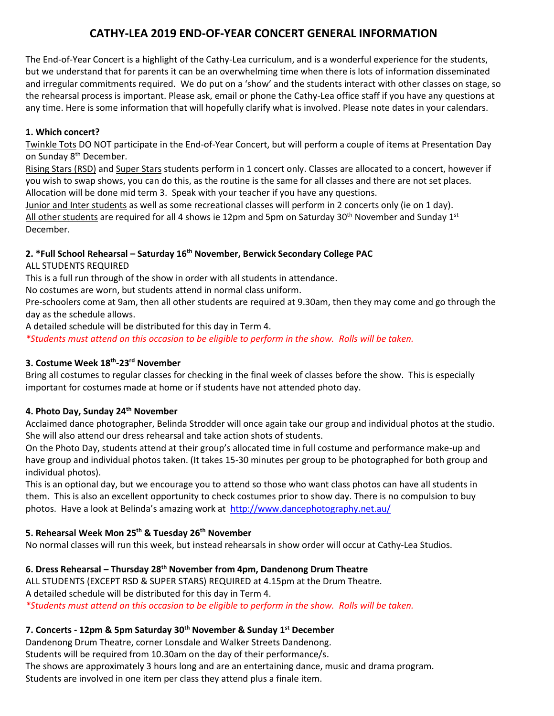# **CATHY-LEA 2019 END-OF-YEAR CONCERT GENERAL INFORMATION**

The End-of-Year Concert is a highlight of the Cathy-Lea curriculum, and is a wonderful experience for the students, but we understand that for parents it can be an overwhelming time when there is lots of information disseminated and irregular commitments required. We do put on a 'show' and the students interact with other classes on stage, so the rehearsal process is important. Please ask, email or phone the Cathy-Lea office staff if you have any questions at any time. Here is some information that will hopefully clarify what is involved. Please note dates in your calendars.

### **1. Which concert?**

Twinkle Tots DO NOT participate in the End-of-Year Concert, but will perform a couple of items at Presentation Day on Sunday 8<sup>th</sup> December.

Rising Stars (RSD) and Super Stars students perform in 1 concert only. Classes are allocated to a concert, however if you wish to swap shows, you can do this, as the routine is the same for all classes and there are not set places. Allocation will be done mid term 3. Speak with your teacher if you have any questions.

Junior and Inter students as well as some recreational classes will perform in 2 concerts only (ie on 1 day). All other students are required for all 4 shows ie 12pm and 5pm on Saturday 30<sup>th</sup> November and Sunday 1<sup>st</sup> December.

### **2. \*Full School Rehearsal – Saturday 16 th November, Berwick Secondary College PAC**

ALL STUDENTS REQUIRED

This is a full run through of the show in order with all students in attendance.

No costumes are worn, but students attend in normal class uniform.

Pre-schoolers come at 9am, then all other students are required at 9.30am, then they may come and go through the day as the schedule allows.

A detailed schedule will be distributed for this day in Term 4.

*\*Students must attend on this occasion to be eligible to perform in the show. Rolls will be taken.*

### **3. Costume Week 18 th -23 rd November**

Bring all costumes to regular classes for checking in the final week of classes before the show. This is especially important for costumes made at home or if students have not attended photo day.

### **4. Photo Day, Sunday 24th November**

Acclaimed dance photographer, Belinda Strodder will once again take our group and individual photos at the studio. She will also attend our dress rehearsal and take action shots of students.

On the Photo Day, students attend at their group's allocated time in full costume and performance make-up and have group and individual photos taken. (It takes 15-30 minutes per group to be photographed for both group and individual photos).

This is an optional day, but we encourage you to attend so those who want class photos can have all students in them. This is also an excellent opportunity to check costumes prior to show day. There is no compulsion to buy photos. Have a look at Belinda's amazing work at<http://www.dancephotography.net.au/>

## **5. Rehearsal Week Mon 25 th & Tuesday 26 th November**

No normal classes will run this week, but instead rehearsals in show order will occur at Cathy-Lea Studios.

## **6. Dress Rehearsal – Thursday 28 th November from 4pm, Dandenong Drum Theatre**

ALL STUDENTS (EXCEPT RSD & SUPER STARS) REQUIRED at 4.15pm at the Drum Theatre. A detailed schedule will be distributed for this day in Term 4. *\*Students must attend on this occasion to be eligible to perform in the show. Rolls will be taken.*

## **7. Concerts - 12pm & 5pm Saturday 30th November & Sunday 1 st December**

Dandenong Drum Theatre, corner Lonsdale and Walker Streets Dandenong.

Students will be required from 10.30am on the day of their performance/s.

The shows are approximately 3 hours long and are an entertaining dance, music and drama program.

Students are involved in one item per class they attend plus a finale item.